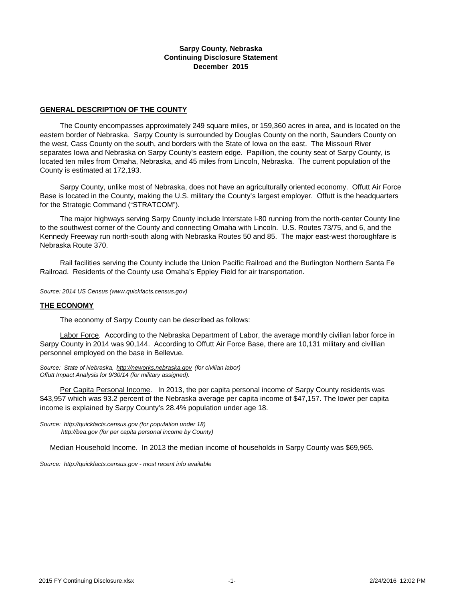#### **Sarpy County, Nebraska Continuing Disclosure Statement December 2015**

### **GENERAL DESCRIPTION OF THE COUNTY**

 The County encompasses approximately 249 square miles, or 159,360 acres in area, and is located on the eastern border of Nebraska. Sarpy County is surrounded by Douglas County on the north, Saunders County on the west, Cass County on the south, and borders with the State of Iowa on the east. The Missouri River separates Iowa and Nebraska on Sarpy County's eastern edge. Papillion, the county seat of Sarpy County, is located ten miles from Omaha, Nebraska, and 45 miles from Lincoln, Nebraska. The current population of the County is estimated at 172,193.

 Sarpy County, unlike most of Nebraska, does not have an agriculturally oriented economy. Offutt Air Force Base is located in the County, making the U.S. military the County's largest employer. Offutt is the headquarters for the Strategic Command ("STRATCOM").

 The major highways serving Sarpy County include Interstate I-80 running from the north-center County line to the southwest corner of the County and connecting Omaha with Lincoln. U.S. Routes 73/75, and 6, and the Kennedy Freeway run north-south along with Nebraska Routes 50 and 85. The major east-west thoroughfare is Nebraska Route 370.

 Rail facilities serving the County include the Union Pacific Railroad and the Burlington Northern Santa Fe Railroad. Residents of the County use Omaha's Eppley Field for air transportation.

*Source: 2014 US Census (www.quickfacts.census.gov)*

#### **THE ECONOMY**

The economy of Sarpy County can be described as follows:

 Labor Force. According to the Nebraska Department of Labor, the average monthly civilian labor force in Sarpy County in 2014 was 90,144. According to Offutt Air Force Base, there are 10,131 military and civillian personnel employed on the base in Bellevue.

*Source: State of Nebraska, http://neworks.nebraska.gov (for civilian labor) Offutt Impact Analysis for 9/30/14 (for military assigned).* 

 Per Capita Personal Income. In 2013, the per capita personal income of Sarpy County residents was \$43,957 which was 93.2 percent of the Nebraska average per capita income of \$47,157. The lower per capita income is explained by Sarpy County's 28.4% population under age 18.

*Source: http://quickfacts.census.gov (for population under 18) http://bea.gov (for per capita personal income by County)*

Median Household Income. In 2013 the median income of households in Sarpy County was \$69,965.

*[Source: http://quickfacts.census.gov - most recent info available](http://factfinder.census.gov/)*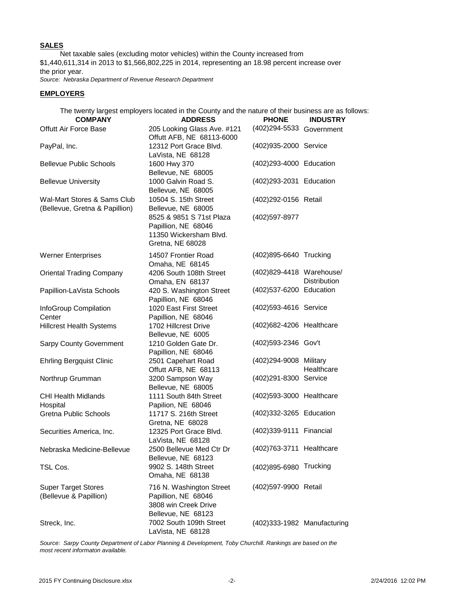### **SALES**

 Net taxable sales (excluding motor vehicles) within the County increased from \$1,440,611,314 in 2013 to \$1,566,802,225 in 2014, representing an 18.98 percent increase over the prior year.

*Source: Nebraska Department of Revenue Research Department*

#### **EMPLOYERS**

The twenty largest employers located in the County and the nature of their business are as follows:

| <b>COMPANY</b>                                                | <b>ADDRESS</b>                                                                                | <b>PHONE</b>                | <b>INDUSTRY</b>     |  |  |
|---------------------------------------------------------------|-----------------------------------------------------------------------------------------------|-----------------------------|---------------------|--|--|
| <b>Offutt Air Force Base</b>                                  | 205 Looking Glass Ave. #121<br>Offutt AFB, NE 68113-6000                                      | (402) 294-5533 Government   |                     |  |  |
| PayPal, Inc.                                                  | 12312 Port Grace Blvd.<br>LaVista, NE 68128                                                   | (402)935-2000 Service       |                     |  |  |
| <b>Bellevue Public Schools</b>                                | 1600 Hwy 370<br>Bellevue, NE 68005                                                            | (402)293-4000 Education     |                     |  |  |
| <b>Bellevue University</b>                                    | 1000 Galvin Road S.<br>Bellevue, NE 68005                                                     | (402)293-2031 Education     |                     |  |  |
| Wal-Mart Stores & Sams Club<br>(Bellevue, Gretna & Papillion) | 10504 S. 15th Street<br>Bellevue, NE 68005                                                    | (402)292-0156 Retail        |                     |  |  |
|                                                               | 8525 & 9851 S 71st Plaza<br>Papillion, NE 68046<br>11350 Wickersham Blvd.<br>Gretna, NE 68028 | (402)597-8977               |                     |  |  |
| <b>Werner Enterprises</b>                                     | 14507 Frontier Road<br>Omaha, NE 68145                                                        | (402)895-6640 Trucking      |                     |  |  |
| <b>Oriental Trading Company</b>                               | 4206 South 108th Street<br>Omaha, EN 68137                                                    | (402)829-4418 Warehouse/    | <b>Distribution</b> |  |  |
| Papillion-LaVista Schools                                     | 420 S. Washington Street<br>Papillion, NE 68046                                               | (402)537-6200 Education     |                     |  |  |
| InfoGroup Compilation<br>Center                               | 1020 East First Street<br>Papillion, NE 68046                                                 | (402)593-4616 Service       |                     |  |  |
| <b>Hillcrest Health Systems</b>                               | 1702 Hillcrest Drive<br>Bellevue, NE 6005                                                     | (402) 682-4206 Healthcare   |                     |  |  |
| <b>Sarpy County Government</b>                                | 1210 Golden Gate Dr.<br>Papillion, NE 68046                                                   | (402)593-2346 Gov't         |                     |  |  |
| <b>Ehrling Bergquist Clinic</b>                               | 2501 Capehart Road<br>Offutt AFB, NE 68113                                                    | (402)294-9008 Military      | Healthcare          |  |  |
| Northrup Grumman                                              | 3200 Sampson Way<br>Bellevue, NE 68005                                                        | (402)291-8300 Service       |                     |  |  |
| <b>CHI Health Midlands</b><br>Hospital                        | 1111 South 84th Street<br>Papilion, NE 68046                                                  | (402) 593-3000 Healthcare   |                     |  |  |
| <b>Gretna Public Schools</b>                                  | 11717 S. 216th Street<br>Gretna, NE 68028                                                     | (402)332-3265 Education     |                     |  |  |
| Securities America, Inc.                                      | 12325 Port Grace Blvd.<br>LaVista, NE 68128                                                   | (402) 339-9111 Financial    |                     |  |  |
| Nebraska Medicine-Bellevue                                    | 2500 Bellevue Med Ctr Dr<br>Bellevue, NE 68123                                                | (402)763-3711 Healthcare    |                     |  |  |
| TSL Cos.                                                      | 9902 S. 148th Street<br>Omaha, NE 68138                                                       | (402)895-6980 Trucking      |                     |  |  |
| <b>Super Target Stores</b><br>(Bellevue & Papillion)          | 716 N. Washington Street<br>Papillion, NE 68046<br>3808 win Creek Drive<br>Bellevue, NE 68123 | (402)597-9900 Retail        |                     |  |  |
| Streck, Inc.                                                  | 7002 South 109th Street<br>LaVista, NE 68128                                                  | (402)333-1982 Manufacturing |                     |  |  |

*Source: Sarpy County Department of Labor Planning & Development, Toby Churchill. Rankings are based on the most recent informaton available.*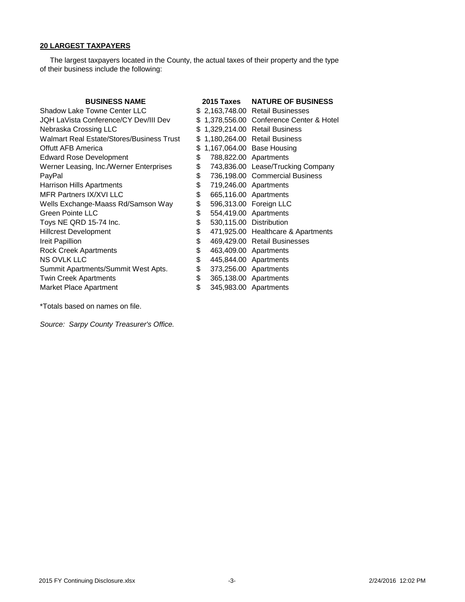## **20 LARGEST TAXPAYERS**

 The largest taxpayers located in the County, the actual taxes of their property and the type of their business include the following:

| <b>BUSINESS NAME</b>                      |     | 2015 Taxes NATURE OF BUSINESS            |
|-------------------------------------------|-----|------------------------------------------|
| Shadow Lake Towne Center LLC              |     | \$ 2,163,748.00 Retail Businesses        |
| JQH LaVista Conference/CY Dev/III Dev     |     | \$1,378,556.00 Conference Center & Hotel |
| Nebraska Crossing LLC                     | \$. | 1,329,214.00 Retail Business             |
| Walmart Real Estate/Stores/Business Trust | S   | 1,180,264.00 Retail Business             |
| <b>Offutt AFB America</b>                 | S   | 1,167,064.00 Base Housing                |
| <b>Edward Rose Development</b>            | \$  | 788,822.00 Apartments                    |
| Werner Leasing, Inc./Werner Enterprises   | \$  | 743,836.00 Lease/Trucking Company        |
| PayPal                                    | \$  | 736,198.00 Commercial Business           |
| Harrison Hills Apartments                 | \$  | 719,246.00 Apartments                    |
| MFR Partners IX/XVI LLC                   | \$  | 665,116.00 Apartments                    |
| Wells Exchange-Maass Rd/Samson Way        | \$  | 596,313.00 Foreign LLC                   |
| Green Pointe LLC                          | \$  | 554,419.00 Apartments                    |
| Toys NE QRD 15-74 Inc.                    | \$  | 530,115.00 Distribution                  |
| <b>Hillcrest Development</b>              | \$  | 471,925.00 Healthcare & Apartments       |
| Ireit Papillion                           | \$  | 469,429.00 Retail Businesses             |
| <b>Rock Creek Apartments</b>              | \$  | 463,409.00 Apartments                    |
| <b>NS OVLK LLC</b>                        | \$  | 445,844.00 Apartments                    |
| Summit Apartments/Summit West Apts.       | \$  | 373,256.00 Apartments                    |
| <b>Twin Creek Apartments</b>              | \$  | 365,138.00 Apartments                    |
| Market Place Apartment                    | \$  | 345,983.00 Apartments                    |

\*Totals based on names on file.

*Source: Sarpy County Treasurer's Office.*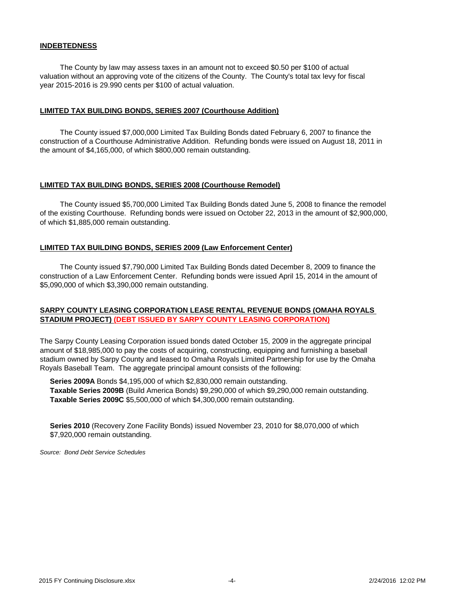#### **INDEBTEDNESS**

 The County by law may assess taxes in an amount not to exceed \$0.50 per \$100 of actual valuation without an approving vote of the citizens of the County. The County's total tax levy for fiscal year 2015-2016 is 29.990 cents per \$100 of actual valuation.

#### **LIMITED TAX BUILDING BONDS, SERIES 2007 (Courthouse Addition)**

 The County issued \$7,000,000 Limited Tax Building Bonds dated February 6, 2007 to finance the construction of a Courthouse Administrative Addition. Refunding bonds were issued on August 18, 2011 in the amount of \$4,165,000, of which \$800,000 remain outstanding.

#### **LIMITED TAX BUILDING BONDS, SERIES 2008 (Courthouse Remodel)**

 The County issued \$5,700,000 Limited Tax Building Bonds dated June 5, 2008 to finance the remodel of the existing Courthouse. Refunding bonds were issued on October 22, 2013 in the amount of \$2,900,000, of which \$1,885,000 remain outstanding.

#### **LIMITED TAX BUILDING BONDS, SERIES 2009 (Law Enforcement Center)**

 The County issued \$7,790,000 Limited Tax Building Bonds dated December 8, 2009 to finance the construction of a Law Enforcement Center. Refunding bonds were issued April 15, 2014 in the amount of \$5,090,000 of which \$3,390,000 remain outstanding.

### **SARPY COUNTY LEASING CORPORATION LEASE RENTAL REVENUE BONDS (OMAHA ROYALS STADIUM PROJECT) (DEBT ISSUED BY SARPY COUNTY LEASING CORPORATION)**

The Sarpy County Leasing Corporation issued bonds dated October 15, 2009 in the aggregate principal amount of \$18,985,000 to pay the costs of acquiring, constructing, equipping and furnishing a baseball stadium owned by Sarpy County and leased to Omaha Royals Limited Partnership for use by the Omaha Royals Baseball Team. The aggregate principal amount consists of the following:

 **Series 2009A** Bonds \$4,195,000 of which \$2,830,000 remain outstanding. **Taxable Series 2009B** (Build America Bonds) \$9,290,000 of which \$9,290,000 remain outstanding. **Taxable Series 2009C** \$5,500,000 of which \$4,300,000 remain outstanding.

 **Series 2010** (Recovery Zone Facility Bonds) issued November 23, 2010 for \$8,070,000 of which \$7,920,000 remain outstanding.

*Source: Bond Debt Service Schedules*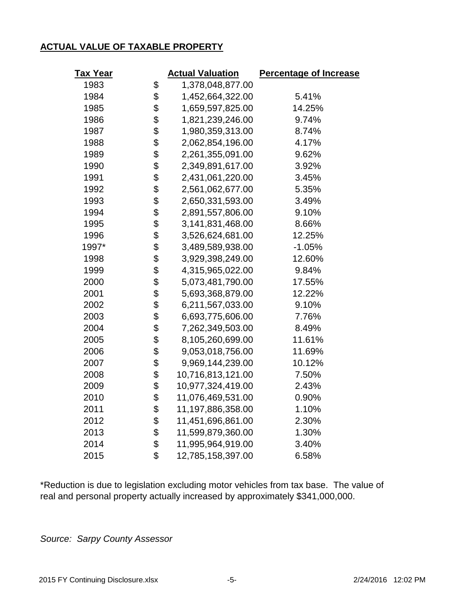# **ACTUAL VALUE OF TAXABLE PROPERTY**

| <u>Tax Year</u> |    | <b>Actual Valuation</b> | <b>Percentage of Increase</b> |  |  |  |  |
|-----------------|----|-------------------------|-------------------------------|--|--|--|--|
| 1983            | \$ | 1,378,048,877.00        |                               |  |  |  |  |
| 1984            | \$ | 1,452,664,322.00        | 5.41%                         |  |  |  |  |
| 1985            | \$ | 1,659,597,825.00        | 14.25%                        |  |  |  |  |
| 1986            | \$ | 1,821,239,246.00        | 9.74%                         |  |  |  |  |
| 1987            | \$ | 1,980,359,313.00        | 8.74%                         |  |  |  |  |
| 1988            | \$ | 2,062,854,196.00        | 4.17%                         |  |  |  |  |
| 1989            | \$ | 2,261,355,091.00        | 9.62%                         |  |  |  |  |
| 1990            | \$ | 2,349,891,617.00        | 3.92%                         |  |  |  |  |
| 1991            | \$ | 2,431,061,220.00        | 3.45%                         |  |  |  |  |
| 1992            | \$ | 2,561,062,677.00        | 5.35%                         |  |  |  |  |
| 1993            | \$ | 2,650,331,593.00        | 3.49%                         |  |  |  |  |
| 1994            | \$ | 2,891,557,806.00        | 9.10%                         |  |  |  |  |
| 1995            | \$ | 3,141,831,468.00        | 8.66%                         |  |  |  |  |
| 1996            | \$ | 3,526,624,681.00        | 12.25%                        |  |  |  |  |
| 1997*           | \$ | 3,489,589,938.00        | $-1.05%$                      |  |  |  |  |
| 1998            | \$ | 3,929,398,249.00        | 12.60%                        |  |  |  |  |
| 1999            | \$ | 4,315,965,022.00        | 9.84%                         |  |  |  |  |
| 2000            | \$ | 5,073,481,790.00        | 17.55%                        |  |  |  |  |
| 2001            | \$ | 5,693,368,879.00        | 12.22%                        |  |  |  |  |
| 2002            | \$ | 6,211,567,033.00        | 9.10%                         |  |  |  |  |
| 2003            | \$ | 6,693,775,606.00        | 7.76%                         |  |  |  |  |
| 2004            | \$ | 7,262,349,503.00        | 8.49%                         |  |  |  |  |
| 2005            | \$ | 8,105,260,699.00        | 11.61%                        |  |  |  |  |
| 2006            | \$ | 9,053,018,756.00        | 11.69%                        |  |  |  |  |
| 2007            | \$ | 9,969,144,239.00        | 10.12%                        |  |  |  |  |
| 2008            | \$ | 10,716,813,121.00       | 7.50%                         |  |  |  |  |
| 2009            | \$ | 10,977,324,419.00       | 2.43%                         |  |  |  |  |
| 2010            | \$ | 11,076,469,531.00       | 0.90%                         |  |  |  |  |
| 2011            | \$ | 11,197,886,358.00       | 1.10%                         |  |  |  |  |
| 2012            | \$ | 11,451,696,861.00       | 2.30%                         |  |  |  |  |
| 2013            | \$ | 11,599,879,360.00       | 1.30%                         |  |  |  |  |
| 2014            | \$ | 11,995,964,919.00       | 3.40%                         |  |  |  |  |
| 2015            | \$ | 12,785,158,397.00       | 6.58%                         |  |  |  |  |

\*Reduction is due to legislation excluding motor vehicles from tax base. The value of real and personal property actually increased by approximately \$341,000,000.

*Source: Sarpy County Assessor*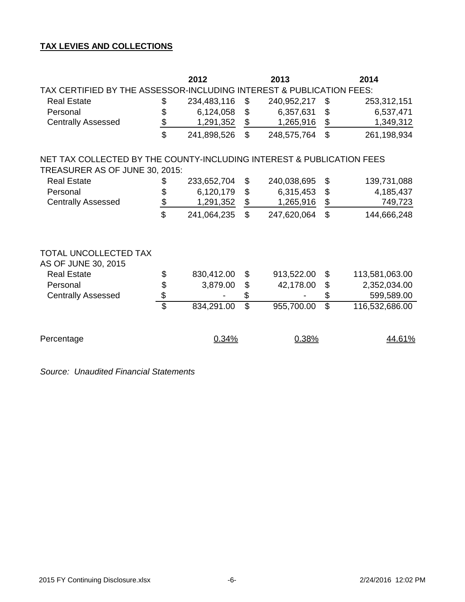# **TAX LEVIES AND COLLECTIONS**

|                                                                       |                          | 2012        |                           | 2013        | 2014                     |                |  |  |  |  |  |  |  |
|-----------------------------------------------------------------------|--------------------------|-------------|---------------------------|-------------|--------------------------|----------------|--|--|--|--|--|--|--|
| TAX CERTIFIED BY THE ASSESSOR-INCLUDING INTEREST & PUBLICATION FEES:  |                          |             |                           |             |                          |                |  |  |  |  |  |  |  |
| <b>Real Estate</b>                                                    | \$                       | 234,483,116 | \$                        | 240,952,217 | \$                       | 253,312,151    |  |  |  |  |  |  |  |
| Personal                                                              | \$                       | 6,124,058   | $\boldsymbol{\theta}$     | 6,357,631   | \$                       | 6,537,471      |  |  |  |  |  |  |  |
| <b>Centrally Assessed</b>                                             | $\frac{1}{2}$            | 1,291,352   | \$                        | 1,265,916   | $\frac{1}{2}$            | 1,349,312      |  |  |  |  |  |  |  |
|                                                                       | $\mathfrak{L}$           | 241,898,526 | $\mathbb{S}$              | 248,575,764 | $\mathfrak{L}$           | 261,198,934    |  |  |  |  |  |  |  |
| NET TAX COLLECTED BY THE COUNTY-INCLUDING INTEREST & PUBLICATION FEES |                          |             |                           |             |                          |                |  |  |  |  |  |  |  |
| TREASURER AS OF JUNE 30, 2015:                                        |                          |             |                           |             |                          |                |  |  |  |  |  |  |  |
| <b>Real Estate</b>                                                    | \$                       | 233,652,704 | \$                        | 240,038,695 | \$                       | 139,731,088    |  |  |  |  |  |  |  |
| Personal                                                              | \$                       | 6,120,179   | $\boldsymbol{\mathsf{S}}$ | 6,315,453   | \$                       | 4,185,437      |  |  |  |  |  |  |  |
| <b>Centrally Assessed</b>                                             | $\frac{\$}{}$            | 1,291,352   | $\frac{1}{2}$             | 1,265,916   | $\overline{\mathcal{E}}$ | 749,723        |  |  |  |  |  |  |  |
|                                                                       | \$                       | 241,064,235 | $\mathbb{S}$              | 247,620,064 | $\mathbb{S}$             | 144,666,248    |  |  |  |  |  |  |  |
| TOTAL UNCOLLECTED TAX<br>AS OF JUNE 30, 2015                          |                          |             |                           |             |                          |                |  |  |  |  |  |  |  |
| <b>Real Estate</b>                                                    | \$                       | 830,412.00  | \$                        | 913,522.00  | \$                       | 113,581,063.00 |  |  |  |  |  |  |  |
| Personal                                                              |                          | 3,879.00    | $\frac{1}{2}$             | 42,178.00   | \$                       | 2,352,034.00   |  |  |  |  |  |  |  |
| <b>Centrally Assessed</b>                                             | \$                       |             | \$                        |             | \$                       | 599,589.00     |  |  |  |  |  |  |  |
|                                                                       | $\overline{\mathcal{S}}$ | 834,291.00  | $\overline{\mathbb{S}}$   | 955,700.00  | $\overline{\mathbb{S}}$  | 116,532,686.00 |  |  |  |  |  |  |  |
| Percentage                                                            |                          | 0.34%       |                           | 0.38%       |                          | 44.61%         |  |  |  |  |  |  |  |

*Source: Unaudited Financial Statements*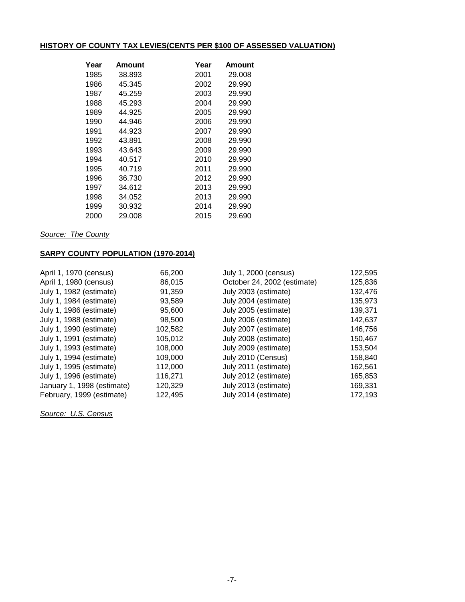# **HISTORY OF COUNTY TAX LEVIES(CENTS PER \$100 OF ASSESSED VALUATION)**

| Year | Amount | Year | Amount |
|------|--------|------|--------|
| 1985 | 38.893 | 2001 | 29.008 |
| 1986 | 45.345 | 2002 | 29.990 |
| 1987 | 45.259 | 2003 | 29.990 |
| 1988 | 45.293 | 2004 | 29.990 |
| 1989 | 44.925 | 2005 | 29.990 |
| 1990 | 44.946 | 2006 | 29.990 |
| 1991 | 44.923 | 2007 | 29.990 |
| 1992 | 43.891 | 2008 | 29.990 |
| 1993 | 43.643 | 2009 | 29.990 |
| 1994 | 40.517 | 2010 | 29.990 |
| 1995 | 40.719 | 2011 | 29.990 |
| 1996 | 36.730 | 2012 | 29.990 |
| 1997 | 34.612 | 2013 | 29.990 |
| 1998 | 34.052 | 2013 | 29.990 |
| 1999 | 30.932 | 2014 | 29.990 |
| 2000 | 29.008 | 2015 | 29.690 |

*Source: The County*

## **SARPY COUNTY POPULATION (1970-2014)**

| April 1, 1970 (census)     | 66,200  | July 1, 2000 (census)       | 122,595 |
|----------------------------|---------|-----------------------------|---------|
| April 1, 1980 (census)     | 86,015  | October 24, 2002 (estimate) | 125,836 |
| July 1, 1982 (estimate)    | 91,359  | July 2003 (estimate)        | 132,476 |
| July 1, 1984 (estimate)    | 93,589  | July 2004 (estimate)        | 135,973 |
| July 1, 1986 (estimate)    | 95,600  | July 2005 (estimate)        | 139,371 |
| July 1, 1988 (estimate)    | 98,500  | July 2006 (estimate)        | 142,637 |
| July 1, 1990 (estimate)    | 102,582 | July 2007 (estimate)        | 146,756 |
| July 1, 1991 (estimate)    | 105,012 | July 2008 (estimate)        | 150,467 |
| July 1, 1993 (estimate)    | 108,000 | July 2009 (estimate)        | 153,504 |
| July 1, 1994 (estimate)    | 109,000 | July 2010 (Census)          | 158,840 |
| July 1, 1995 (estimate)    | 112,000 | July 2011 (estimate)        | 162,561 |
| July 1, 1996 (estimate)    | 116,271 | July 2012 (estimate)        | 165,853 |
| January 1, 1998 (estimate) | 120,329 | July 2013 (estimate)        | 169,331 |
| February, 1999 (estimate)  | 122,495 | July 2014 (estimate)        | 172,193 |

*Source: U.S. Census*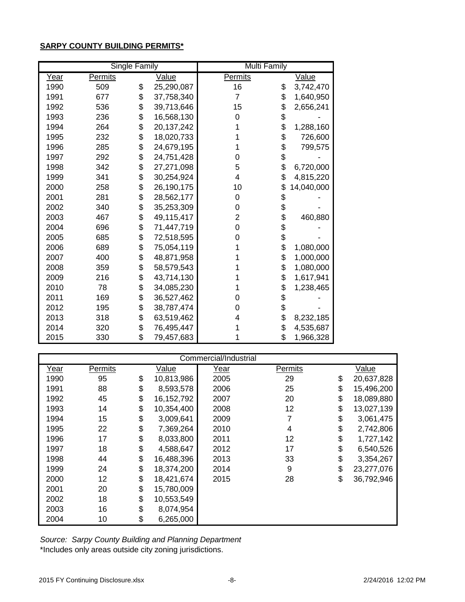## **SARPY COUNTY BUILDING PERMITS\***

|      |                | <b>Single Family</b> |              | <b>Multi Family</b> |    |            |  |  |  |
|------|----------------|----------------------|--------------|---------------------|----|------------|--|--|--|
| Year | <b>Permits</b> |                      | <u>Value</u> | <b>Permits</b>      |    | Value      |  |  |  |
| 1990 | 509            | \$                   | 25,290,087   | 16                  | \$ | 3,742,470  |  |  |  |
| 1991 | 677            | \$                   | 37,758,340   | $\overline{7}$      | \$ | 1,640,950  |  |  |  |
| 1992 | 536            | \$                   | 39,713,646   | 15                  | \$ | 2,656,241  |  |  |  |
| 1993 | 236            | \$                   | 16,568,130   | $\Omega$            | \$ |            |  |  |  |
| 1994 | 264            | \$                   | 20,137,242   |                     | \$ | 1,288,160  |  |  |  |
| 1995 | 232            | \$                   | 18,020,733   |                     | \$ | 726,600    |  |  |  |
| 1996 | 285            | \$                   | 24,679,195   |                     | \$ | 799,575    |  |  |  |
| 1997 | 292            | \$                   | 24,751,428   | 0                   | \$ |            |  |  |  |
| 1998 | 342            | \$                   | 27,271,098   | 5                   | \$ | 6,720,000  |  |  |  |
| 1999 | 341            | \$                   | 30,254,924   | 4                   | \$ | 4,815,220  |  |  |  |
| 2000 | 258            | \$                   | 26,190,175   | 10                  | \$ | 14,040,000 |  |  |  |
| 2001 | 281            | \$                   | 28,562,177   | $\mathbf 0$         | \$ |            |  |  |  |
| 2002 | 340            | \$                   | 35,253,309   | 0                   | \$ |            |  |  |  |
| 2003 | 467            | \$                   | 49,115,417   | 2                   | \$ | 460,880    |  |  |  |
| 2004 | 696            | \$                   | 71,447,719   | 0                   | \$ |            |  |  |  |
| 2005 | 685            | \$                   | 72,518,595   | 0                   | \$ |            |  |  |  |
| 2006 | 689            | \$                   | 75,054,119   |                     | \$ | 1,080,000  |  |  |  |
| 2007 | 400            | \$                   | 48,871,958   |                     | \$ | 1,000,000  |  |  |  |
| 2008 | 359            | \$                   | 58,579,543   |                     | \$ | 1,080,000  |  |  |  |
| 2009 | 216            | \$                   | 43,714,130   |                     | \$ | 1,617,941  |  |  |  |
| 2010 | 78             | \$                   | 34,085,230   |                     | \$ | 1,238,465  |  |  |  |
| 2011 | 169            | \$                   | 36,527,462   | 0                   | \$ |            |  |  |  |
| 2012 | 195            | \$                   | 38,787,474   | 0                   | \$ |            |  |  |  |
| 2013 | 318            | \$                   | 63,519,462   | 4                   | \$ | 8,232,185  |  |  |  |
| 2014 | 320            | \$                   | 76,495,447   |                     | \$ | 4,535,687  |  |  |  |
| 2015 | 330            | \$                   | 79,457,683   |                     | \$ | 1,966,328  |  |  |  |

|      | Commercial/Industrial |                 |              |      |         |    |            |  |  |  |  |
|------|-----------------------|-----------------|--------------|------|---------|----|------------|--|--|--|--|
| Year | Permits               |                 | Value        | Year | Permits |    | Value      |  |  |  |  |
| 1990 | 95                    | \$              | 10,813,986   | 2005 | 29      | \$ | 20,637,828 |  |  |  |  |
| 1991 | 88                    | \$              | 8,593,578    | 2006 | 25      | \$ | 15,496,200 |  |  |  |  |
| 1992 | 45                    | \$              | 16, 152, 792 | 2007 | 20      | \$ | 18,089,880 |  |  |  |  |
| 1993 | 14                    | \$              | 10,354,400   | 2008 | 12      | \$ | 13,027,139 |  |  |  |  |
| 1994 | 15                    | \$              | 3,009,641    | 2009 | 7       | \$ | 3,061,475  |  |  |  |  |
| 1995 | 22                    | \$              | 7,369,264    | 2010 | 4       | \$ | 2,742,806  |  |  |  |  |
| 1996 | 17                    | \$              | 8,033,800    | 2011 | 12      | \$ | 1,727,142  |  |  |  |  |
| 1997 | 18                    | \$              | 4,588,647    | 2012 | 17      | \$ | 6,540,526  |  |  |  |  |
| 1998 | 44                    | \$              | 16,488,396   | 2013 | 33      | \$ | 3,354,267  |  |  |  |  |
| 1999 | 24                    | \$              | 18,374,200   | 2014 | 9       | \$ | 23,277,076 |  |  |  |  |
| 2000 | 12                    | \$              | 18,421,674   | 2015 | 28      | \$ | 36,792,946 |  |  |  |  |
| 2001 | 20                    | \$              | 15,780,009   |      |         |    |            |  |  |  |  |
| 2002 | 18                    | \$              | 10,553,549   |      |         |    |            |  |  |  |  |
| 2003 | 16                    | \$<br>8,074,954 |              |      |         |    |            |  |  |  |  |
| 2004 | 10                    | \$              | 6,265,000    |      |         |    |            |  |  |  |  |

\*Includes only areas outside city zoning jurisdictions. *Source: Sarpy County Building and Planning Department*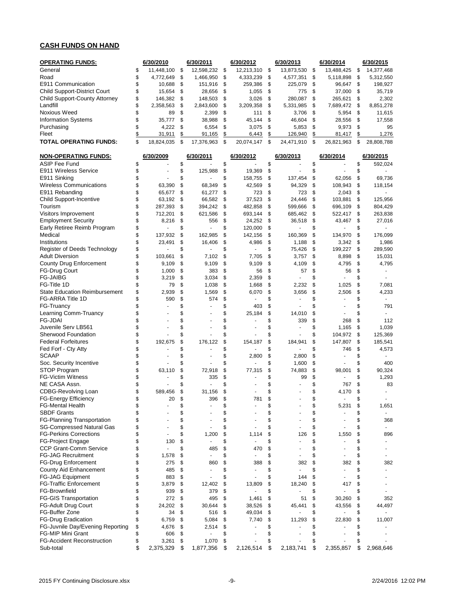### **CASH FUNDS ON HAND**

| <b>OPERATING FUNDS:</b>                           |          | 6/30/2010             |          | 6/30/2011         |          | 6/30/2012         |          | 6/30/2013         |          | 6/30/2014          |          | 6/30/2015                |
|---------------------------------------------------|----------|-----------------------|----------|-------------------|----------|-------------------|----------|-------------------|----------|--------------------|----------|--------------------------|
| General                                           | \$       | 11,448,100            | \$       | 12,598,232        | \$       | 12,213,310        | \$       | 13,873,530        | \$       | 13,488,425         | \$       | 14,377,468               |
| Road                                              | \$       | 4,772,649             | \$       | 1,466,950         | \$       | 4,333,239         | \$       | 4,577,351         | \$       | 5,118,898          | \$       | 5,312,550                |
| E911 Communication                                | \$       | 10,688                | \$       | 151,916           | \$       | 259,386           | \$       | 225,079           | \$       | 96,647             | \$       | 198,927                  |
| <b>Child Support-District Court</b>               | \$       | 15,654                | \$       | 28,656            | \$       | 1,055             | \$       | 775               | \$       | 37,000             | \$       | 35,719                   |
| Child Support-County Attorney                     | \$       | 146,382               | \$       | 148,503           | \$       | 3,026             | \$       | 280,087           | \$       | 265,621            | \$       | 2,302                    |
| Landfill                                          | \$       | 2,358,563             | \$       | 2,843,600         | \$       | 3,209,358         | \$       | 5,331,985         | \$       | 7,689,472          | \$       | 8,851,278                |
| <b>Noxious Weed</b>                               | \$       | 89                    | \$       | 2,399             | \$       | 111               | \$       | 3,706             | \$       | 5,954              | \$       | 11,615                   |
| <b>Information Systems</b>                        | \$<br>\$ | 35,777                | \$       | 38,988            | \$       | 45,144            | \$       | 46,604            | \$       | 28,556             | \$       | 17,558                   |
| Purchasing<br>Fleet                               | \$       | 4,222<br>31,911       | \$<br>\$ | 6,554<br>91,165   | \$<br>\$ | 3,075<br>6,443    | \$<br>\$ | 5,853<br>126,940  | \$<br>\$ | 9,973<br>81,417    | \$<br>\$ | 95<br>1,276              |
| TOTAL OPERATING FUNDS:                            | \$       | 18,824,035            | \$       | 17,376,963        | \$       | 20,074,147        | \$       | 24,471,910        | \$       | 26,821,963         | \$       | 28,808,788               |
|                                                   |          |                       |          |                   |          |                   |          |                   |          |                    |          |                          |
| <b>NON-OPERATING FUNDS:</b>                       |          | 6/30/2009             |          | 6/30/2011         |          | 6/30/2012         |          | 6/30/2013         |          | 6/30/2014          |          | 6/30/2015                |
| <b>ASIP Fee Fund</b>                              | \$       |                       | \$       |                   | \$       |                   | \$       |                   | \$       |                    | \$       | 592,024                  |
| E911 Wireless Service                             | \$       |                       | \$       | 125,988           | \$       | 19,369            | \$       |                   | \$       |                    | \$       |                          |
| E911 Sinking                                      | \$       |                       | \$       |                   | \$       | 158,755           | \$       | 137,454           | \$       | 62,056             | \$       | 69,736                   |
| <b>Wireless Communications</b>                    | \$       | 63,390                | \$       | 68,349            | \$       | 42,569            | \$       | 94,329            | \$       | 108,943            | \$       | 118,154                  |
| E911 Rebanding                                    | \$       | 65,677                | \$       | 61,277            | \$       | 723               | \$<br>\$ | 723               | \$<br>\$ | 2,043              | \$<br>\$ |                          |
| Child Support-Incentive<br>Tourism                | \$<br>\$ | 63,192<br>287,393     | \$<br>\$ | 66,582<br>394,242 | \$<br>\$ | 37,523<br>482,858 | \$       | 24,446<br>599,666 | \$       | 103,881<br>696,109 | \$       | 125,956<br>804,429       |
| Visitors Improvement                              | \$       | 712,201               | \$       | 621,586           | \$       | 693,144           | \$       | 685,462           | \$       | 522,417            | \$       |                          |
| <b>Employment Security</b>                        | \$       | 8,216                 | \$       | 556               | \$       | 24,252            | \$       | 36,518            | \$       | 43,467             | \$       | 263,838<br>27,016        |
| Early Retiree Reimb Program                       | \$       |                       | \$       | ä,                | \$       | 120,000           | \$       |                   | \$       |                    | \$       |                          |
| Medical                                           | \$       | 137,932               | \$       | 162,985           | \$       | 142,156           | \$       | 160,369           | \$       | 134,970            | \$       | 176,099                  |
| Institutions                                      | \$       | 23,491                | \$       | 16,406            | \$       | 4,986             | \$       | 1,188             | \$       | 3,342              | \$       | 1,986                    |
| Register of Deeds Technology                      | \$       |                       | \$       |                   | \$       |                   | \$       | 75,426            | \$       | 199,227            | \$       | 289,590                  |
| <b>Adult Diversion</b>                            | \$       | 103.661               | \$       | 7,102             | \$       | 7,705             | \$       | 3,757             | \$       | 8,898              | \$       | 15,031                   |
| County Drug Enforcement                           | \$       | 9,109                 | \$       | 9,109             | \$       | 9,109             | \$       | 4,109             | \$       | 4,795              | \$       | 4,795                    |
| <b>FG-Drug Court</b>                              | \$       | 1,000                 | \$       | 383               | \$       | 56                | \$       | 57                | \$       | 56                 | \$       |                          |
| <b>FG-JAIBG</b>                                   | \$       | 3,219                 | \$       | 3,034             | \$       | 2,359             | \$       |                   | \$       |                    | \$       |                          |
| FG-Title 1D                                       | \$       | 79                    | \$       | 1,038             | \$       | 1,668             | \$       | 2,232             | \$       | 1,025              | \$       | 7,081                    |
| <b>State Education Reimbursement</b>              | \$       | 2,939                 | \$       | 1,569             | \$       | 6,070             | \$       | 3,656             | \$       | 2,506              | \$       | 4,233                    |
| FG-ARRA Title 1D                                  | \$       | 590                   | \$       | 574               | \$       |                   | \$       |                   | \$       |                    | \$       |                          |
| FG-Truancy                                        | \$       | $\tilde{\phantom{a}}$ | \$       | ä,                | \$       | 403               | \$       |                   | \$       |                    | \$       | 791                      |
| Learning Comm-Truancy                             | \$       |                       | \$       |                   | \$       | 25,184            | \$       | 14,010            | \$       |                    | \$       | $\sim$                   |
| <b>FG-JDAI</b>                                    | \$       | ä,                    | \$       |                   | \$       |                   | \$       | 339               | \$       | 268                | \$       | 112                      |
| Juvenile Serv LB561                               | \$       |                       | \$       |                   | \$       |                   | \$       |                   | \$       | 1,165              | \$       | 1,039                    |
| <b>Sherwood Foundation</b>                        | \$       |                       | \$       |                   | \$       |                   | \$       |                   | \$       | 104,972            | \$       | 125,369                  |
| <b>Federal Forfeitures</b>                        | \$       | 192,675               | \$       | 176,122           | \$       | 154,187           | \$       | 184,941           | \$       | 147,807            | \$       | 185,541                  |
| Fed Forf - Cty Atty                               | \$       |                       | \$       |                   | \$       |                   | \$       |                   | \$       | 746                | \$       | 4,573                    |
| <b>SCAAP</b>                                      | \$       | ä,                    | \$       |                   | \$       | 2,800             | \$       | 2,800             | \$       |                    | \$       |                          |
| Soc. Security Incentive                           | \$       |                       | \$       |                   | \$       |                   | \$       | 1,600             | \$       |                    | \$       | 400                      |
| STOP Program                                      | \$       | 63,110                | \$       | 72,918            | \$       | 77,315            | \$       | 74,883            | \$       | 98,001             | \$       | 90.324                   |
| <b>FG-Victim Witness</b>                          | \$       |                       | \$       | 335               | \$       |                   | \$       | 99                | \$       |                    | \$       | 1,293                    |
| NE CASA Assn.                                     | \$       |                       | \$       |                   | \$       |                   | \$       |                   | \$       | 767                | \$       | 83                       |
| CDBG-Revolving Loan                               | \$       | 589,456               | \$       | 31,156            | \$       |                   | \$       |                   | \$       | 4,170              | \$       |                          |
| FG-Energy Efficiency                              | \$       | 20                    | \$       | 396               | \$       | 781               | \$       |                   | ዼ        |                    | \$       |                          |
| <b>FG-Mental Health</b>                           | \$       |                       | \$       |                   | \$       |                   | \$       |                   | \$       | 5,231              | \$       | 1,651                    |
| <b>SBDF Grants</b>                                | \$       |                       | \$       |                   | \$       |                   | \$       |                   | \$       |                    | \$       |                          |
| FG-Planning Transportation                        | \$       |                       | \$       |                   | \$       |                   | \$       |                   | \$       |                    | \$       | 368                      |
| SG-Compressed Natural Gas                         | \$       |                       | \$       |                   | \$       |                   | \$       |                   | \$       |                    | \$       | $\overline{\phantom{a}}$ |
| <b>FG-Perkins Corrections</b>                     | \$       | $\overline{a}$        | \$       | 1,200             | \$       | 1,114             | \$       | 126               | \$       | 1,550              | \$       | 896                      |
| <b>FG-Project Engage</b>                          | \$       | 130                   | \$       |                   | \$       |                   | \$       |                   | \$       |                    | \$       |                          |
| <b>CCP Grant-Comm Service</b>                     | \$       | ä,                    | \$       | 485               | \$       | 470               | \$       |                   | \$       |                    | \$       |                          |
| <b>FG-JAG Recruitment</b><br>FG-Drug Enforcement  | \$       | 1,578                 | \$       |                   | \$       |                   | \$       |                   | \$       |                    | \$       |                          |
|                                                   | \$       | 275                   | \$       | 860               | \$       | 388               | \$       | 382               | \$<br>\$ | 382                | \$       | 382                      |
| County Aid Enhancement                            | \$       | 485                   | \$       |                   | \$<br>\$ |                   | \$<br>\$ |                   |          |                    | \$<br>\$ |                          |
| FG-JAG Equipment<br><b>FG-Traffic Enforcement</b> | \$<br>\$ | 883<br>3,879          | \$<br>\$ |                   | \$       | 13,809            | \$       | 144<br>18,240     | \$<br>\$ | 417                | \$       |                          |
| FG-Brownfield                                     | \$       | 939                   | \$       | 12,402<br>379     | \$       | ÷.                | \$       |                   | \$       |                    | \$       |                          |
| <b>FG-GIS Transportation</b>                      | \$       | 272                   | \$       | 495               | \$       | 1,461             | \$       | 51                | \$       | 30,260             | \$       | 352                      |
| <b>FG-Adult Drug Court</b>                        | \$       | 24,202                | \$       | 30,644            | \$       | 38,526            | \$       | 45,441            | \$       | 43,556             | \$       | 44,497                   |
| FG-Buffer Zone                                    | \$       | 34                    | \$       | 516               | \$       | 49,034            | \$       |                   | \$       |                    | \$       | $\sim$                   |
| <b>FG-Drug Eradication</b>                        | \$       | 6,759                 | \$       | 5,084             | \$       | 7,740             | \$       | 11,293            | \$       | 22,830             | \$       | 11,007                   |
| FG-Juvnile Day/Evening Reporting                  | \$       | 4,676                 | \$       | 2,514             | \$       |                   | \$       |                   | \$       |                    | \$       |                          |
| <b>FG-MIP Mini Grant</b>                          | \$       | 606                   | \$       |                   | \$       |                   | \$       |                   | \$       |                    | \$       |                          |
| <b>FG-Accident Reconstruction</b>                 | \$       | 3,261                 | \$       | 1,070             | \$       |                   | \$       |                   | \$       |                    | \$       |                          |
| Sub-total                                         | \$       | 2,375,329             | \$       | 1,877,356         | \$       | 2,126,514         | \$       | 2,183,741         | \$       | 2,355,857          | \$       | 2,968,646                |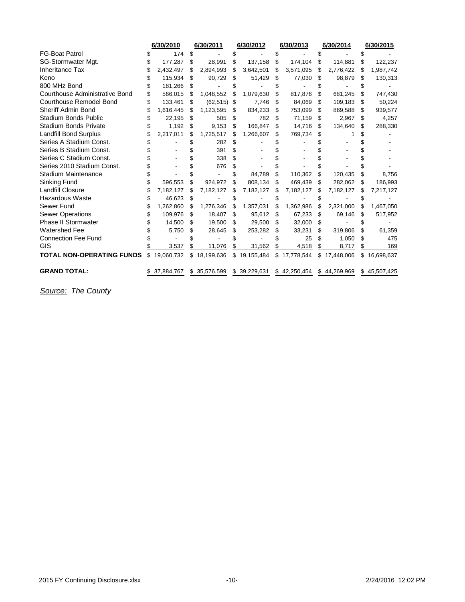|                                  | 6/30/2010        |     | 6/30/2011      |     | 6/30/2012    |    | 6/30/2013    |    | 6/30/2014    |    | 6/30/2015  |
|----------------------------------|------------------|-----|----------------|-----|--------------|----|--------------|----|--------------|----|------------|
| <b>FG-Boat Patrol</b>            | 174              |     |                |     |              |    |              |    |              |    |            |
| SG-Stormwater Mgt.               | 177,287          | \$  | 28,991         | \$  | 137,158      | \$ | 174,104      | S  | 114,881      | S  | 122,237    |
| <b>Inheritance Tax</b>           | 2,432,497        |     | 2,894,993      | \$  | 3,642,501    | \$ | 3,571,095    | S  | 2,776,422    | S  | 1,987,742  |
| Keno                             | 115,934          | S   | 90,729         | \$. | 51,429       | S  | 77,030       | S  | 98,879       | S  | 130,313    |
| 800 MHz Bond                     | 181,266          | \$  |                |     |              |    |              |    |              |    |            |
| Courthouse Administrative Bond   | 566,015          | \$. | 1,048,552      |     | 1,079,630    | \$ | 817,876      | S  | 681,245      |    | 747,430    |
| <b>Courthouse Remodel Bond</b>   | 133,461          | \$  | $(62, 515)$ \$ |     | 7,746        | \$ | 84,069       | S  | 109,183      | \$ | 50,224     |
| <b>Sheriff Admin Bond</b>        | 1,616,445        | \$. | 1,123,595      | S   | 834,233      | \$ | 753,099      | S  | 869,588      | \$ | 939,577    |
| <b>Stadium Bonds Public</b>      | 22,195           | \$  | 505            | \$  | 782          | \$ | 71,159       | S  | 2,967        | \$ | 4,257      |
| <b>Stadium Bonds Private</b>     | 1,192            | \$  | 9,153          | \$  | 166,847      | \$ | 14,716       | S  | 134,640      | \$ | 288,330    |
| Landfill Bond Surplus            | 2,217,011        | S   | 1,725,517      | S   | 1,266,607    | S  | 769,734      | S  |              |    |            |
| Series A Stadium Const.          |                  |     | 282            |     |              |    |              |    |              |    |            |
| Series B Stadium Const.          |                  |     | 391            | \$  |              |    |              |    |              |    |            |
| Series C Stadium Const.          |                  |     | 338            |     |              |    |              |    |              |    |            |
| Series 2010 Stadium Const.       |                  |     | 676            | \$. |              |    |              |    |              |    |            |
| <b>Stadium Maintenance</b>       |                  |     |                |     | 84,789       | \$ | 110,362      | S  | 120,435      |    | 8,756      |
| Sinking Fund                     | 596,553          | \$  | 924,972        | S   | 808,134      | S  | 469,439      | S  | 282,062      | S  | 186,993    |
| <b>Landfill Closure</b>          | 7,182,127        | S   | 7,182,127      | S.  | 7,182,127    | S  | 7,182,127    | S  | 7,182,127    | S  | 7,217,127  |
| Hazardous Waste                  | 46,623           | \$. |                |     |              | S  |              |    |              |    |            |
| Sewer Fund                       | 1,262,860        | \$  | 1,276,346      | \$. | 1,357,031    | \$ | 1,362,986    | \$ | 2,321,000    | S  | 1,467,050  |
| <b>Sewer Operations</b>          | 109,976          | \$  | 18,407         | S   | 95,612       | \$ | 67,233       | S  | 69,146       | S  | 517,952    |
| <b>Phase II Stormwater</b>       | 14,500           | S   | 19,500         | S   | 29,500       | \$ | 32,000       | S  |              |    |            |
| <b>Watershed Fee</b>             | 5,750            | \$  | 28,645         | S   | 253,282      | \$ | 33,231       | S  | 319.806      | \$ | 61,359     |
| <b>Connection Fee Fund</b>       |                  |     |                |     |              |    | 25           |    | 1,050        | \$ | 475        |
| GIS                              | 3,537            |     | 11,076         |     | 31,562       | \$ | 4,518        |    | 8,717        | \$ | 169        |
| <b>TOTAL NON-OPERATING FUNDS</b> | \$<br>19,060,732 | \$  | 18,199,636     |     | \$19,155,484 |    | \$17,778,544 |    | \$17,448,006 | \$ | 16,698,637 |
| <b>GRAND TOTAL:</b>              | 37,884,767       | \$. | 35,576,599     |     | \$39,229,631 |    | \$42,250,454 |    | \$44,269,969 | \$ | 45,507,425 |

*Source: The County*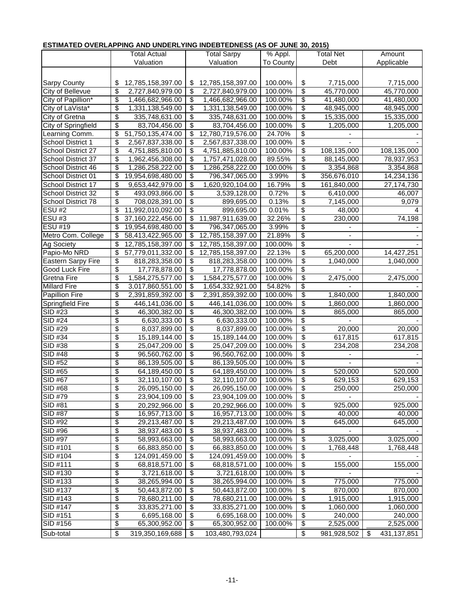### **ESTIMATED OVERLAPPING AND UNDERLYING INDEBTEDNESS (AS OF JUNE 30, 2015)**

|                           |                                  | Total Actual      | <b>Total Sarpy</b>      | % Appl.   | Total Net                |                | Amount |             |  |
|---------------------------|----------------------------------|-------------------|-------------------------|-----------|--------------------------|----------------|--------|-------------|--|
|                           |                                  | Valuation         | Valuation               | To County |                          | Debt           |        | Applicable  |  |
|                           |                                  |                   |                         |           |                          |                |        |             |  |
|                           |                                  |                   |                         |           |                          |                |        |             |  |
| Sarpy County              | \$                               | 12,785,158,397.00 | \$<br>12,785,158,397.00 | 100.00%   | \$                       | 7,715,000      |        | 7,715,000   |  |
| City of Bellevue          | \$                               | 2,727,840,979.00  | \$<br>2,727,840,979.00  | 100.00%   | \$                       | 45,770,000     |        | 45,770,000  |  |
| City of Papillion*        | $\overline{\boldsymbol{\theta}}$ | 1,466,682,966.00  | \$<br>1,466,682,966.00  | 100.00%   | \$                       | 41,480,000     |        | 41,480,000  |  |
| City of LaVista*          | \$                               | 1,331,138,549.00  | \$<br>1,331,138,549.00  | 100.00%   | \$                       | 48,945,000     |        | 48,945,000  |  |
| City of Gretna            | $\overline{\boldsymbol{\theta}}$ | 335,748,631.00    | \$<br>335,748,631.00    | 100.00%   | \$                       | 15,335,000     |        | 15,335,000  |  |
| City of Springfield       | $\overline{\boldsymbol{\theta}}$ | 83,704,456.00     | \$<br>83,704,456.00     | 100.00%   | \$                       | 1,205,000      |        | 1,205,000   |  |
| Learning Comm.            | \$                               | 51,750,135,474.00 | \$<br>12,780,719,576.00 | 24.70%    | \$                       |                |        |             |  |
| School District 1         | \$                               | 2,567,837,338.00  | \$<br>2,567,837,338.00  | 100.00%   | \$                       |                |        |             |  |
| School District 27        | \$                               | 4,751,885,810.00  | \$<br>4,751,885,810.00  | 100.00%   | \$                       | 108,135,000    |        | 108,135,000 |  |
| School District 37        | \$                               | 1,962,456,308.00  | \$<br>1,757,471,028.00  | 89.55%    | \$                       | 88,145,000     |        | 78,937,953  |  |
| School District 46        | \$                               | 1,286,258,222.00  | \$<br>1,286,258,222.00  | 100.00%   | \$                       | 3,354,868      |        | 3,354,868   |  |
| School District 01        | \$                               | 19,954,698,480.00 | \$<br>796,347,065.00    | 3.99%     | \$                       | 356,676,010    |        | 14,234,136  |  |
| School District 17        | \$                               | 9,653,442,979.00  | \$<br>1,620,920,104.00  | 16.79%    | \$                       | 161,840,000    |        | 27,174,730  |  |
| School District 32        | \$                               | 493,093,866.00    | \$<br>3,539,128.00      | 0.72%     | \$                       | 6,410,000      |        | 46,007      |  |
| School District 78        | \$                               | 708,028,391.00    | \$<br>899,695.00        | 0.13%     | \$                       | 7,145,000      |        | 9,079       |  |
| <b>ESU #2</b>             | \$                               | 11,992,010,092.00 | \$<br>899,695.00        | 0.01%     | \$                       | 48,000         |        | 4           |  |
| ESU#3                     | \$                               | 37,160,222,456.00 | \$<br>11,987,911,639.00 | 32.26%    | \$                       | 230,000        |        | 74,198      |  |
| <b>ESU #19</b>            | \$                               | 19,954,698,480.00 | \$<br>796,347,065.00    | 3.99%     | \$                       |                |        |             |  |
| Metro Com. College        | \$                               | 58,413,422,965.00 | \$<br>12,785,158,397.00 | 21.89%    | \$                       |                |        |             |  |
| <b>Ag Society</b>         | $\overline{\$}$                  | 12,785,158,397.00 | \$<br>12,785,158,397.00 | 100.00%   | $\overline{\mathcal{G}}$ |                |        |             |  |
| Papio-Mo NRD              | \$                               | 57,779,011,332.00 | \$<br>12,785,158,397.00 | 22.13%    | \$                       | 65,200,000     |        | 14,427,251  |  |
| <b>Eastern Sarpy Fire</b> | \$                               | 818,283,358.00    | \$<br>818,283,358.00    | 100.00%   | \$                       | 1,040,000      |        | 1,040,000   |  |
| Good Luck Fire            | \$                               | 17,778,878.00     | \$<br>17,778,878.00     | 100.00%   | \$                       |                |        |             |  |
| Gretna Fire               | \$                               | 1,584,275,577.00  | \$<br>1,584,275,577.00  | 100.00%   | \$                       | 2,475,000      |        | 2,475,000   |  |
| <b>Millard Fire</b>       | \$                               | 3,017,860,551.00  | \$<br>1,654,332,921.00  | 54.82%    | $\overline{\mathcal{E}}$ |                |        |             |  |
| <b>Papillion Fire</b>     | \$                               | 2,391,859,392.00  | \$<br>2,391,859,392.00  | 100.00%   | \$                       | 1,840,000      |        | 1,840,000   |  |
| Springfield Fire          | $\overline{\boldsymbol{\theta}}$ | 446,141,036.00    | \$<br>446,141,036.00    | 100.00%   | \$                       | 1,860,000      |        | 1,860,000   |  |
| SID #23                   | \$                               | 46,300,382.00     | \$<br>46,300,382.00     | 100.00%   | \$                       | 865,000        |        | 865,000     |  |
| SID #24                   | \$                               | 6,630,333.00      | \$<br>6,630,333.00      | 100.00%   | \$                       |                |        |             |  |
| SID #29                   | \$                               | 8,037,899.00      | \$<br>8,037,899.00      | 100.00%   | \$                       | 20,000         |        | 20,000      |  |
| SID #34                   | $\overline{\$}$                  | 15,189,144.00     | \$<br>15,189,144.00     | 100.00%   | \$                       | 617,815        |        | 617,815     |  |
| SID #38                   | \$                               | 25,047,209.00     | \$<br>25,047,209.00     | 100.00%   | \$                       | 234,208        |        | 234,208     |  |
| SID #48                   | \$                               | 96,560,762.00     | \$<br>96,560,762.00     | 100.00%   | \$                       |                |        |             |  |
| SID #52                   | $\overline{\boldsymbol{\theta}}$ | 86,139,505.00     | \$<br>86,139,505.00     | 100.00%   | $\overline{\mathcal{E}}$ | $\blacksquare$ |        |             |  |
| $SID \#65$                | $\overline{\boldsymbol{\theta}}$ | 64,189,450.00     | \$<br>64,189,450.00     | 100.00%   | \$                       | 520,000        |        | 520,000     |  |
| SID #67                   | \$                               | 32,110,107.00     | \$<br>32,110,107.00     | 100.00%   | \$                       | 629,153        |        | 629,153     |  |
| SID #68                   | \$                               | 26,095,150.00     | \$<br>26,095,150.00     | 100.00%   | \$                       | 250,000        |        | 250,000     |  |
| SID #79                   | $\overline{\mathcal{E}}$         | 23,904,109.00     | \$<br>23,904,109.00     | 100.00%   | \$                       |                |        |             |  |
| SID #81                   | $\overline{\boldsymbol{\theta}}$ | 20,292,966.00     | \$<br>20,292,966.00     | 100.00%   | \$                       | 925,000        |        | 925,000     |  |
| <b>SID #87</b>            | $\overline{\boldsymbol{\theta}}$ | 16,957,713.00     | \$<br>16,957,713.00     | 100.00%   | \$                       | 40,000         |        | 40,000      |  |
| SID #92                   | $\overline{\boldsymbol{\theta}}$ | 29,213,487.00     | \$<br>29,213,487.00     | 100.00%   | \$                       | 645,000        |        | 645,000     |  |
| SID #96                   | $\overline{\boldsymbol{\theta}}$ | 38,937,483.00     | \$<br>38,937,483.00     | 100.00%   | \$                       |                |        |             |  |
| SID #97                   | \$                               | 58,993,663.00     | \$<br>58,993,663.00     | 100.00%   | \$                       | 3,025,000      |        | 3,025,000   |  |
| SID #101                  | \$                               | 66,883,850.00     | \$<br>66,883,850.00     | 100.00%   | \$                       | 1,768,448      |        | 1,768,448   |  |
| SID #104                  | $\overline{\boldsymbol{\theta}}$ | 124,091,459.00    | \$<br>124,091,459.00    | 100.00%   | \$                       |                |        |             |  |
| SID #111                  | $\overline{\boldsymbol{\theta}}$ | 68,818,571.00     | \$<br>68,818,571.00     | 100.00%   | \$                       | 155,000        |        | 155,000     |  |
| SID #130                  | \$                               | 3,721,618.00      | \$<br>3,721,618.00      | 100.00%   | \$                       |                |        |             |  |
| SID #133                  | $\overline{\boldsymbol{\theta}}$ | 38,265,994.00     | \$<br>38,265,994.00     | 100.00%   | \$                       | 775,000        |        | 775,000     |  |
| SID #137                  | \$                               | 50,443,872.00     | \$<br>50,443,872.00     | 100.00%   | \$                       | 870,000        |        | 870,000     |  |
| SID #143                  | \$                               | 78,680,211.00     | \$<br>78,680,211.00     | 100.00%   | \$                       | 1,915,000      |        | 1,915,000   |  |
| SID #147                  | \$                               | 33,835,271.00     | \$<br>33,835,271.00     | 100.00%   | \$                       | 1,060,000      |        | 1,060,000   |  |
| SID #151                  | $\overline{\boldsymbol{\theta}}$ | 6,695,168.00      | \$<br>6,695,168.00      | 100.00%   | \$                       | 240,000        |        | 240,000     |  |
| SID #156                  | $\overline{\$}$                  | 65,300,952.00     | \$<br>65,300,952.00     | 100.00%   | \$                       | 2,525,000      |        | 2,525,000   |  |
| Sub-total                 | \$                               | 319,350,169,688   | \$<br>103,480,793,024   |           | \$                       | 981,928,502    | \$     | 431,137,851 |  |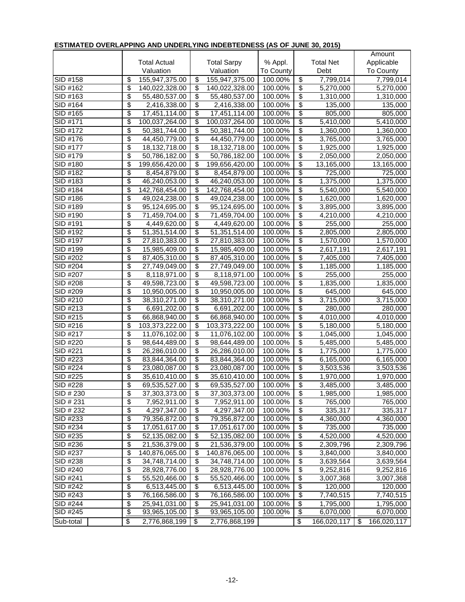| <u>ESTIMATED OVEREALTING AND UNDERETING INDEDITEDINESS (AS OF JUNE 30, 2013)</u> |                         |                     |                          |                    |           |                                  |                        |                        |
|----------------------------------------------------------------------------------|-------------------------|---------------------|--------------------------|--------------------|-----------|----------------------------------|------------------------|------------------------|
|                                                                                  |                         |                     |                          |                    |           |                                  |                        | Amount                 |
|                                                                                  |                         | <b>Total Actual</b> |                          | <b>Total Sarpy</b> | % Appl.   |                                  | <b>Total Net</b>       | Applicable             |
|                                                                                  |                         | Valuation           |                          | Valuation          | To County |                                  | Debt                   | To County              |
| SID #158                                                                         | \$                      | 155,947,375.00      | \$                       | 155,947,375.00     | 100.00%   | \$                               | 7,799,014              | 7,799,014              |
| SID #162                                                                         | \$                      | 140,022,328.00      | $\overline{\mathcal{S}}$ | 140,022,328.00     | 100.00%   | \$                               | 5,270,000              | 5,270,000              |
| SID #163                                                                         | \$                      | 55,480,537.00       | $\overline{\$}$          | 55,480,537.00      | 100.00%   | $\overline{\boldsymbol{\theta}}$ | 1,310,000              | 1,310,000              |
| SID #164                                                                         | \$                      | 2,416,338.00        | $\overline{\$}$          | 2,416,338.00       | 100.00%   | \$                               | 135,000                | 135,000                |
| SID #165                                                                         | \$                      | 17,451,114.00       | $\overline{\$}$          | 17,451,114.00      | 100.00%   | $\overline{\mathcal{E}}$         | 805,000                | 805,000                |
| SID #171                                                                         | \$                      | 100,037,264.00      | $\overline{\mathbf{e}}$  | 100,037,264.00     | 100.00%   | $\overline{\mathcal{E}}$         | 5,410,000              | $\overline{5,410,000}$ |
| SID #172                                                                         | \$                      | 50,381,744.00       | $\overline{\mathcal{S}}$ | 50,381,744.00      | 100.00%   | \$                               | 1,360,000              | 1,360,000              |
| SID #176                                                                         | \$                      | 44,450,779.00       | $\overline{\mathcal{G}}$ | 44,450,779.00      | 100.00%   | \$                               | 3,765,000              | 3,765,000              |
| SID #177                                                                         | \$                      | 18,132,718.00       | \$                       | 18,132,718.00      | 100.00%   | \$                               | 1,925,000              | 1,925,000              |
| SID #179                                                                         | \$                      | 50,786,182.00       | $\overline{\mathbf{e}}$  | 50,786,182.00      | 100.00%   | \$                               | 2,050,000              | 2,050,000              |
| SID #180                                                                         | \$                      | 199,656,420.00      | $\overline{\$}$          | 199,656,420.00     | 100.00%   | \$                               | 13,165,000             | 13,165,000             |
| SID #182                                                                         | \$                      | 8,454,879.00        | $\overline{\$}$          | 8,454,879.00       | 100.00%   | $\overline{\mathcal{S}}$         | 725,000                | 725,000                |
| SID #183                                                                         | \$                      | 46,240,053.00       | $\overline{\$}$          | 46,240,053.00      | 100.00%   | $\overline{\$}$                  | 1,375,000              | 1,375,000              |
| SID #184                                                                         | \$                      | 142,768,454.00      | \$                       | 142,768,454.00     | 100.00%   | $\overline{\boldsymbol{\theta}}$ | 5,540,000              | 5,540,000              |
| SID #186                                                                         | \$                      | 49,024,238.00       | $\overline{\$}$          | 49,024,238.00      | 100.00%   | \$                               | 1,620,000              | 1,620,000              |
| SID #189                                                                         | \$                      | 95,124,695.00       | $\overline{\mathcal{E}}$ | 95,124,695.00      | 100.00%   | \$                               | 3,895,000              | 3,895,000              |
| SID #190                                                                         | \$                      | 71,459,704.00       | $\overline{\$}$          | 71,459,704.00      | 100.00%   | \$                               | 4,210,000              | 4,210,000              |
| SID #191                                                                         | \$                      | 4,449,620.00        | $\overline{\$}$          | 4,449,620.00       | 100.00%   | \$                               | 255,000                | 255,000                |
| SID #192                                                                         | \$                      | 51,351,514.00       | $\overline{\mathcal{E}}$ | 51,351,514.00      | 100.00%   | $\overline{\mathcal{E}}$         | 2,805,000              | 2,805,000              |
| SID #197                                                                         | \$                      | 27,810,383.00       | $\overline{\$}$          | 27,810,383.00      | 100.00%   | $\overline{\$}$                  | 1,570,000              | 1,570,000              |
| SID #199                                                                         | \$                      | 15,985,409.00       | $\overline{\mathcal{G}}$ | 15,985,409.00      | 100.00%   | $\overline{\$}$                  | 2,617,191              | 2,617,191              |
| SID #202                                                                         | \$                      | 87,405,310.00       | $\overline{\$}$          | 87,405,310.00      | 100.00%   | \$                               | 7,405,000              | 7,405,000              |
| SID #204                                                                         | \$                      | 27,749,049.00       | \$                       | 27,749,049.00      | 100.00%   | \$                               | 1,185,000              | 1,185,000              |
| SID #207                                                                         | \$                      | 8,118,971.00        | $\overline{\$}$          | 8,118,971.00       | 100.00%   | \$                               | 255,000                | 255,000                |
| SID #208                                                                         | \$                      | 49,598,723.00       | $\overline{\$}$          | 49,598,723.00      | 100.00%   | $\overline{\mathcal{E}}$         | $\overline{1,835,000}$ | 1,835,000              |
| SID #209                                                                         | \$                      | 10,950,005.00       | $\overline{\$}$          | 10,950,005.00      | 100.00%   | $\overline{\$}$                  | 645,000                | 645,000                |
| SID #210                                                                         | \$                      | 38,310,271.00       | $\overline{\$}$          | 38,310,271.00      | 100.00%   | $\overline{\$}$                  | 3,715,000              | 3,715,000              |
| SID #213                                                                         | \$                      | 6,691,202.00        | $\overline{\$}$          | 6,691,202.00       | 100.00%   | $\overline{\mathcal{E}}$         | 280,000                | 280,000                |
| SID #215                                                                         | \$                      | 66,868,940.00       | $\overline{\$}$          | 66,868,940.00      | 100.00%   | $\overline{\$}$                  | 4,010,000              | 4,010,000              |
| SID #216                                                                         | \$                      | 103,373,222.00      | $\overline{\mathcal{G}}$ | 103,373,222.00     | 100.00%   | \$                               | 5,180,000              | 5,180,000              |
| SID #217                                                                         | \$                      | 11,076,102.00       | $\overline{\mathcal{G}}$ | 11,076,102.00      | 100.00%   | \$                               | 1,045,000              | 1,045,000              |
| SID #220                                                                         | $\overline{\$}$         | 98,644,489.00       | $\overline{\$}$          | 98,644,489.00      | 100.00%   | $\overline{\$}$                  | 5,485,000              | 5,485,000              |
| SID #221                                                                         | \$                      | 26,286,010.00       | $\overline{\$}$          | 26,286,010.00      | 100.00%   | $\overline{\$}$                  | 1,775,000              | 1,775,000              |
| SID #223                                                                         | \$                      | 83,844,364.00       | $\overline{\$}$          | 83,844,364.00      | 100.00%   | $\overline{\boldsymbol{\theta}}$ | 6,165,000              | 6,165,000              |
| SID #224                                                                         | \$                      | 23,080,087.00       | $\overline{\mathcal{E}}$ | 23,080,087.00      | 100.00%   | $\overline{\boldsymbol{\theta}}$ | 3,503,536              | 3,503,536              |
| $SID$ #225                                                                       | \$                      | 35,610,410.00       | \$                       | 35,610,410.00      | 100.00%   | \$                               | 1,970,000              | 1,970,000              |
| SID #228                                                                         | \$                      | 69,535,527.00       | $\overline{\mathbf{e}}$  | 69,535,527.00      | 100.00%   | $\overline{\boldsymbol{\theta}}$ | 3,485,000              | 3,485,000              |
| SID # 230                                                                        | \$                      | 37,303,373.00       | \$                       | 37,303,373.00      | 100.00%   | \$                               | 1,985,000              | 1,985,000              |
| SID # 231                                                                        | \$                      | 7,952,911.00        | \$                       | 7,952,911.00       | 100.00%   | \$                               | 765,000                | 765,000                |
| SID # 232                                                                        | \$                      | 4,297,347.00        | $\overline{\mathcal{G}}$ | 4,297,347.00       | 100.00%   | $\overline{\boldsymbol{\theta}}$ | 335,317                | 335,317                |
| SID #233                                                                         | \$                      | 79,356,872.00       | \$                       | 79,356,872.00      | 100.00%   | \$                               | 4,360,000              | 4,360,000              |
| SID #234                                                                         | \$                      | 17,051,617.00       | $\overline{\mathcal{G}}$ | 17,051,617.00      | 100.00%   | $\overline{\mathcal{S}}$         | 735,000                | 735,000                |
| SID #235                                                                         | \$                      | 52,135,082.00       | \$                       | 52,135,082.00      | 100.00%   | $\overline{\mathcal{S}}$         | 4,520,000              | 4,520,000              |
| SID #236                                                                         | \$                      | 21,536,379.00       | \$                       | 21,536,379.00      | 100.00%   | \$                               | 2,309,796              | 2,309,796              |
| SID #237                                                                         | \$                      | 140,876,065.00      | \$                       | 140,876,065.00     | 100.00%   | \$                               | 3,840,000              | 3,840,000              |
| SID #238                                                                         | \$                      | 34,748,714.00       | \$                       | 34,748,714.00      | 100.00%   | \$                               | 3,639,564              | 3,639,564              |
| SID #240                                                                         | \$                      | 28,928,776.00       | $\overline{\$}$          | 28,928,776.00      | 100.00%   | $\overline{\$}$                  | 9,252,816              | 9,252,816              |
| SID #241                                                                         | \$                      | 55,520,466.00       | \$                       | 55,520,466.00      | 100.00%   | \$                               | 3,007,368              | 3,007,368              |
| SID #242                                                                         | \$                      | 6,513,445.00        | \$                       | 6,513,445.00       | 100.00%   | \$                               | 120,000                | 120,000                |
| SID #243                                                                         | \$                      | 76,166,586.00       | \$                       | 76,166,586.00      | 100.00%   | $\overline{\boldsymbol{\theta}}$ | 7,740,515              | 7,740,515              |
| SID #244                                                                         | \$                      | 25,941,031.00       | \$                       | 25,941,031.00      | 100.00%   | \$                               | 1,795,000              | 1,795,000              |
| SID #245                                                                         | \$                      | 93,965,105.00       | \$                       | 93,965,105.00      | 100.00%   | \$                               | 6,070,000              | 6,070,000              |
| Sub-total                                                                        | $\overline{\mathbf{e}}$ | 2,776,868,199       | \$                       | 2,776,868,199      |           | \$                               | 166,020,117            | \$<br>166,020,117      |

## **ESTIMATED OVERLAPPING AND UNDERLYING INDEBTEDNESS (AS OF JUNE 30, 2015)**